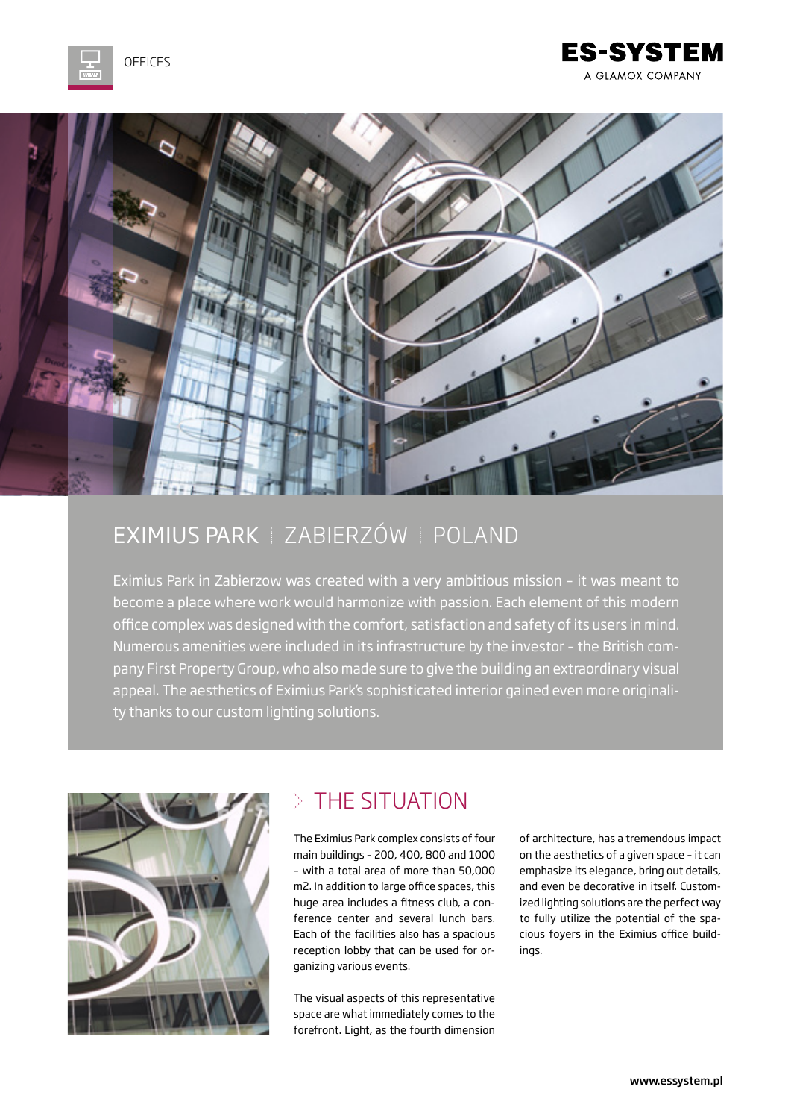

#### **ES-SYSTEM** A GLAMOX COMPANY



# EXIMIUS PARK | ZABIERZÓW | POLAND

Eximius Park in Zabierzow was created with a very ambitious mission – it was meant to become a place where work would harmonize with passion. Each element of this modern office complex was designed with the comfort, satisfaction and safety of its users in mind. Numerous amenities were included in its infrastructure by the investor – the British company First Property Group, who also made sure to give the building an extraordinary visual appeal. The aesthetics of Eximius Park's sophisticated interior gained even more originality thanks to our custom lighting solutions.



## $>$  THE SITUATION

The Eximius Park complex consists of four main buildings – 200, 400, 800 and 1000 – with a total area of more than 50,000 m2. In addition to large office spaces, this huge area includes a fitness club, a conference center and several lunch bars. Each of the facilities also has a spacious reception lobby that can be used for organizing various events.

The visual aspects of this representative space are what immediately comes to the forefront. Light, as the fourth dimension of architecture, has a tremendous impact on the aesthetics of a given space – it can emphasize its elegance, bring out details, and even be decorative in itself. Customized lighting solutions are the perfect way to fully utilize the potential of the spacious foyers in the Eximius office buildings.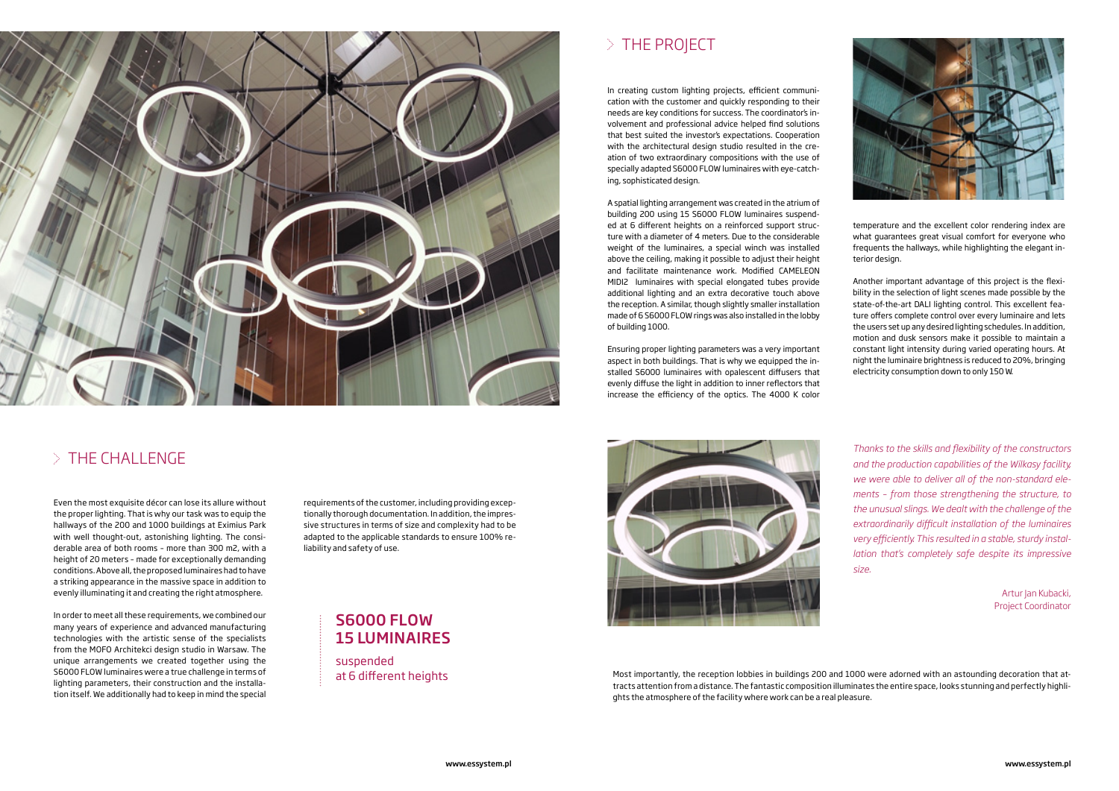

# $>$  THE CHALLENGE

Even the most exquisite décor can lose its allure without the proper lighting. That is why our task was to equip the hallways of the 200 and 1000 buildings at Eximius Park with well thought-out, astonishing lighting. The considerable area of both rooms – more than 300 m2, with a height of 20 meters – made for exceptionally demanding conditions. Above all, the proposed luminaires had to have a striking appearance in the massive space in addition to evenly illuminating it and creating the right atmosphere.

In order to meet all these requirements, we combined our many years of experience and advanced manufacturing technologies with the artistic sense of the specialists from the MOFO Architekci design studio in Warsaw. The unique arrangements we created together using the S6000 FLOW luminaires were a true challenge in terms of lighting parameters, their construction and the installation itself. We additionally had to keep in mind the special

In creating custom lighting projects, efficient communication with the customer and quickly responding to their needs are key conditions for success. The coordinator's involvement and professional advice helped find solutions that best suited the investor's expectations. Cooperation with the architectural design studio resulted in the creation of two extraordinary compositions with the use of specially adapted S6000 FLOW luminaires with eye-catching, sophisticated design.

A spatial lighting arrangement was created in the atrium of building 200 using 15 S6000 FLOW luminaires suspended at 6 different heights on a reinforced support structure with a diameter of 4 meters. Due to the considerable weight of the luminaires, a special winch was installed above the ceiling, making it possible to adjust their height and facilitate maintenance work. Modified CAMELEON MIDI2 luminaires with special elongated tubes provide additional lighting and an extra decorative touch above the reception. A similar, though slightly smaller installation made of 6 S6000 FLOW rings was also installed in the lobby of building 1000.

> Artur Jan Kubacki, Project Coordinator

Ensuring proper lighting parameters was a very important aspect in both buildings. That is why we equipped the installed S6000 luminaires with opalescent diffusers that evenly diffuse the light in addition to inner reflectors that increase the efficiency of the optics. The 4000 K color



suspended at 6 different heights

# $>$  THE PROJECT

### S6000 FLOW 15 LUMINAIRES

requirements of the customer, including providing exceptionally thorough documentation. In addition, the impressive structures in terms of size and complexity had to be adapted to the applicable standards to ensure 100% reliability and safety of use.

> Most importantly, the reception lobbies in buildings 200 and 1000 were adorned with an astounding decoration that attracts attention from a distance. The fantastic composition illuminates the entire space, looks stunning and perfectly highlights the atmosphere of the facility where work can be a real pleasure.



temperature and the excellent color rendering index are what guarantees great visual comfort for everyone who frequents the hallways, while highlighting the elegant interior design.

Another important advantage of this project is the flexibility in the selection of light scenes made possible by the state-of-the-art DALI lighting control. This excellent feature offers complete control over every luminaire and lets the users set up any desired lighting schedules. In addition, motion and dusk sensors make it possible to maintain a constant light intensity during varied operating hours. At night the luminaire brightness is reduced to 20%, bringing electricity consumption down to only 150 W.

*Thanks to the skills and flexibility of the constructors and the production capabilities of the Wilkasy facility, we were able to deliver all of the non-standard elements – from those strengthening the structure, to the unusual slings. We dealt with the challenge of the extraordinarily difficult installation of the luminaires very efficiently. This resulted in a stable, sturdy installation that's completely safe despite its impressive size.*